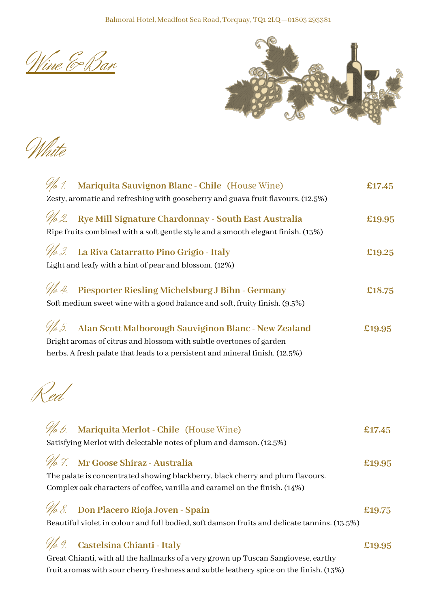Wine & Bar



White

| <i>No</i> 1.<br>Mariquita Sauvignon Blanc - Chile (House Wine)<br>Zesty, aromatic and refreshing with gooseberry and guava fruit flavours. (12.5%) | £17.45 |
|----------------------------------------------------------------------------------------------------------------------------------------------------|--------|
|                                                                                                                                                    |        |
| We 2. Rye Mill Signature Chardonnay - South East Australia                                                                                         | £19.95 |
| Ripe fruits combined with a soft gentle style and a smooth elegant finish. (13%)                                                                   |        |
| <i>No 3.</i><br>La Riva Catarratto Pino Grigio - Italy                                                                                             | £19.25 |
| Light and leafy with a hint of pear and blossom. (12%)                                                                                             |        |
| // 4. Piesporter Riesling Michelsburg J Bihn - Germany                                                                                             | £18.75 |
| Soft medium sweet wine with a good balance and soft, fruity finish. (9.5%)                                                                         |        |
| Alan Scott Malborough Sauviginon Blanc - New Zealand<br>No 5.                                                                                      | £19.95 |
| Bright aromas of citrus and blossom with subtle overtones of garden                                                                                |        |
| herbs. A fresh palate that leads to a persistent and mineral finish. (12.5%)                                                                       |        |
| $\frac{1}{ed}$                                                                                                                                     |        |
| Mariquita Merlot - Chile (House Wine)<br><i>Wo 6.</i>                                                                                              | £17.45 |
| Satisfying Merlot with delectable notes of plum and damson. (12.5%)                                                                                |        |
| We 7. Mr Goose Shiraz - Australia                                                                                                                  | £19.95 |
| The palate is concentrated showing blackberry, black cherry and plum flavours.                                                                     |        |
| Complex oak characters of coffee, vanilla and caramel on the finish. (14%)                                                                         |        |
| Don Placero Rioja Joven - Spain                                                                                                                    | £19.75 |
| Beautiful violet in colour and full bodied, soft damson fruits and delicate tannins. (13.5%)                                                       |        |
| No 9.<br>Castelsina Chianti - Italy                                                                                                                | £19.95 |
| Great Chianti, with all the hallmarks of a very grown up Tuscan Sangiovese, earthy                                                                 |        |
| fruit aromas with sour cherry freshness and subtle leathery spice on the finish. (13%)                                                             |        |
|                                                                                                                                                    |        |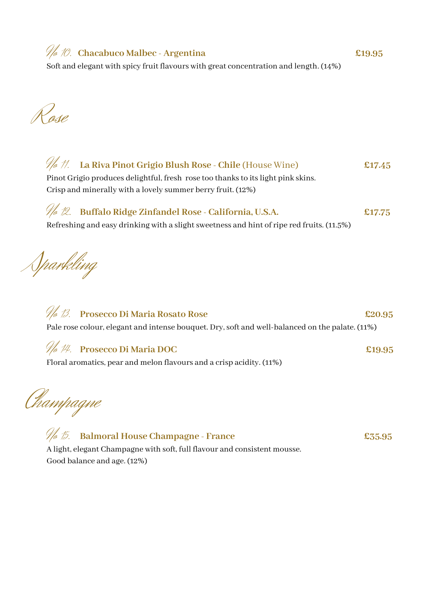No 10. **Chacabuco Malbec - Argentina £19.95**

Soft and elegant with spicy fruit flavours with great concentration and length. (14%)

Rose



## No 13. **Prosecco Di Maria Rosato Rose £20.95** Pale rose colour, elegant and intense bouquet. Dry, soft and well-balanced on the palate. (11%)

## No 14. **Prosecco Di Maria DOC £19.95**

Floral aromatics, pear and melon flavours and a crisp acidity. (11%)

Champagne

No 15. **Balmoral House Champagne - France £35.95** A light, elegant Champagne with soft, full flavour and consistent mousse. Good balance and age. (12%)